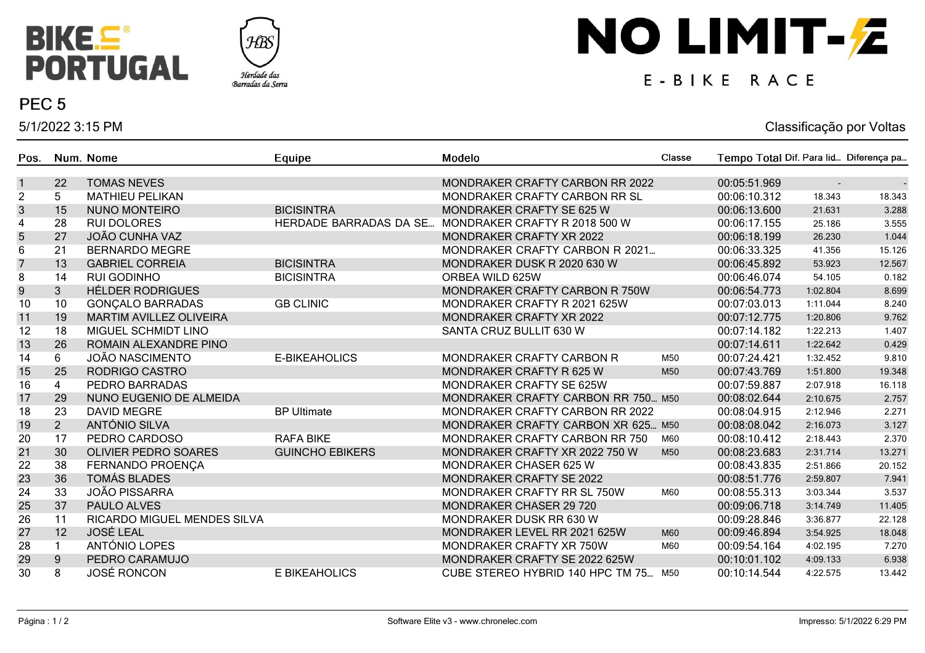



### PEC<sub>5</sub>

5/1/2022 3:15 PM

# NO LIMIT-Z

## E-BIKE RACE

#### Classificação por Voltas

| Pos.                    |                | Num. Nome                          | Equipe                        | Modelo                               | Classe | Tempo Total Dif. Para lid Diferença pa |                |        |
|-------------------------|----------------|------------------------------------|-------------------------------|--------------------------------------|--------|----------------------------------------|----------------|--------|
| $\mathbf{1}$            | 22             | <b>TOMAS NEVES</b>                 |                               | MONDRAKER CRAFTY CARBON RR 2022      |        | 00:05:51.969                           | $\blacksquare$ |        |
| $\overline{c}$          | 5              | <b>MATHIEU PELIKAN</b>             |                               | MONDRAKER CRAFTY CARBON RR SL        |        | 00:06:10.312                           | 18.343         | 18.343 |
| $\mathsf 3$             | 15             | <b>NUNO MONTEIRO</b>               | <b>BICISINTRA</b>             | MONDRAKER CRAFTY SE 625 W            |        | 00:06:13.600                           | 21.631         | 3.288  |
| $\overline{\mathbf{4}}$ | 28             | <b>RUI DOLORES</b>                 | <b>HERDADE BARRADAS DA SE</b> | MONDRAKER CRAFTY R 2018 500 W        |        | 00:06:17.155                           | 25.186         | 3.555  |
| 5                       | 27             | <b>JOÃO CUNHA VAZ</b>              |                               | MONDRAKER CRAFTY XR 2022             |        | 00:06:18.199                           | 26.230         | 1.044  |
| 6                       | 21             | <b>BERNARDO MEGRE</b>              |                               | MONDRAKER CRAFTY CARBON R 2021       |        | 00:06:33.325                           | 41.356         | 15.126 |
| $\overline{7}$          | 13             | <b>GABRIEL CORREIA</b>             | <b>BICISINTRA</b>             | MONDRAKER DUSK R 2020 630 W          |        | 00:06:45.892                           | 53.923         | 12.567 |
| 8                       | 14             | <b>RUI GODINHO</b>                 | <b>BICISINTRA</b>             | ORBEA WILD 625W                      |        | 00:06:46.074                           | 54.105         | 0.182  |
| $\overline{9}$          | $\overline{3}$ | <b>HÉLDER RODRIGUES</b>            |                               | MONDRAKER CRAFTY CARBON R 750W       |        | 00:06:54.773                           | 1:02.804       | 8.699  |
| 10                      | 10             | <b>GONÇALO BARRADAS</b>            | <b>GB CLINIC</b>              | MONDRAKER CRAFTY R 2021 625W         |        | 00:07:03.013                           | 1:11.044       | 8.240  |
| 11                      | 19             | <b>MARTIM AVILLEZ OLIVEIRA</b>     |                               | <b>MONDRAKER CRAFTY XR 2022</b>      |        | 00:07:12.775                           | 1:20.806       | 9.762  |
| 12                      | 18             | MIGUEL SCHMIDT LINO                |                               | SANTA CRUZ BULLIT 630 W              |        | 00:07:14.182                           | 1:22.213       | 1.407  |
| 13                      | 26             | ROMAIN ALEXANDRE PINO              |                               |                                      |        | 00:07:14.611                           | 1:22.642       | 0.429  |
| 14                      | 6              | <b>JOÃO NASCIMENTO</b>             | E-BIKEAHOLICS                 | MONDRAKER CRAFTY CARBON R            | M50    | 00:07:24.421                           | 1:32.452       | 9.810  |
| 15                      | 25             | RODRIGO CASTRO                     |                               | MONDRAKER CRAFTY R 625 W             | M50    | 00:07:43.769                           | 1:51.800       | 19.348 |
| 16                      | 4              | PEDRO BARRADAS                     |                               | <b>MONDRAKER CRAFTY SE 625W</b>      |        | 00:07:59.887                           | 2:07.918       | 16.118 |
| 17                      | 29             | NUNO EUGENIO DE ALMEIDA            |                               | MONDRAKER CRAFTY CARBON RR 750 M50   |        | 00:08:02.644                           | 2:10.675       | 2.757  |
| 18                      | 23             | <b>DAVID MEGRE</b>                 | <b>BP Ultimate</b>            | MONDRAKER CRAFTY CARBON RR 2022      |        | 00:08:04.915                           | 2:12.946       | 2.271  |
| 19                      | 2 <sup>1</sup> | ANTÓNIO SILVA                      |                               | MONDRAKER CRAFTY CARBON XR 625 M50   |        | 00:08:08.042                           | 2:16.073       | 3.127  |
| 20                      | 17             | PEDRO CARDOSO                      | <b>RAFA BIKE</b>              | MONDRAKER CRAFTY CARBON RR 750       | M60    | 00:08:10.412                           | 2:18.443       | 2.370  |
| 21                      | 30             | <b>OLIVIER PEDRO SOARES</b>        | <b>GUINCHO EBIKERS</b>        | MONDRAKER CRAFTY XR 2022 750 W       | M50    | 00:08:23.683                           | 2:31.714       | 13.271 |
| 22                      | 38             | FERNANDO PROENÇA                   |                               | MONDRAKER CHASER 625 W               |        | 00:08:43.835                           | 2:51.866       | 20.152 |
| 23                      | 36             | <b>TOMÁS BLADES</b>                |                               | MONDRAKER CRAFTY SE 2022             |        | 00:08:51.776                           | 2:59.807       | 7.941  |
| 24                      | 33             | <b>JOÃO PISSARRA</b>               |                               | MONDRAKER CRAFTY RR SL 750W          | M60    | 00:08:55.313                           | 3:03.344       | 3.537  |
| 25                      | 37             | PAULO ALVES                        |                               | <b>MONDRAKER CHASER 29 720</b>       |        | 00:09:06.718                           | 3:14.749       | 11.405 |
| 26                      | 11             | <b>RICARDO MIGUEL MENDES SILVA</b> |                               | MONDRAKER DUSK RR 630 W              |        | 00:09:28.846                           | 3:36.877       | 22.128 |
| 27                      | 12             | <b>JOSÉ LEAL</b>                   |                               | MONDRAKER LEVEL RR 2021 625W         | M60    | 00:09:46.894                           | 3:54.925       | 18.048 |
| 28                      | $\mathbf{1}$   | ANTÓNIO LOPES                      |                               | MONDRAKER CRAFTY XR 750W             | M60    | 00:09:54.164                           | 4:02.195       | 7.270  |
| 29                      | 9              | PEDRO CARAMUJO                     |                               | MONDRAKER CRAFTY SE 2022 625W        |        | 00:10:01.102                           | 4:09.133       | 6.938  |
| 30                      | 8              | <b>JOSÉ RONCON</b>                 | E BIKEAHOLICS                 | CUBE STEREO HYBRID 140 HPC TM 75 M50 |        | 00:10:14.544                           | 4:22.575       | 13.442 |